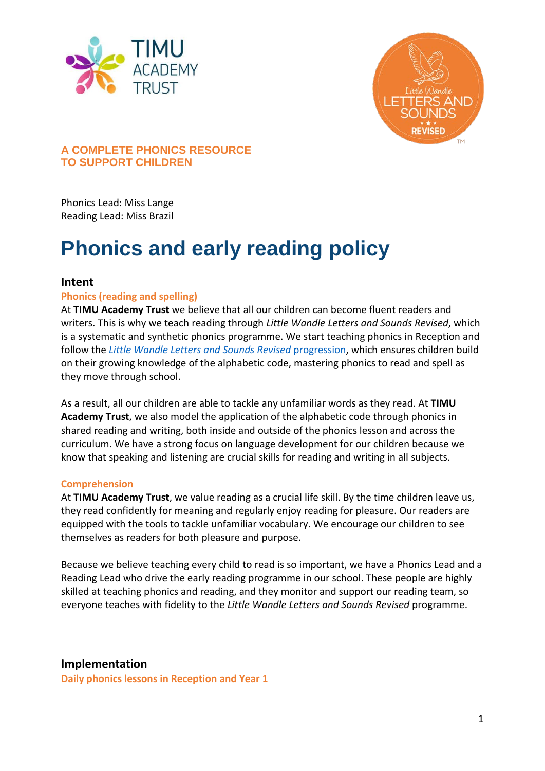



Phonics Lead: Miss Lange Reading Lead: Miss Brazil

# **Phonics and early reading policy**

## **Intent**

## **Phonics (reading and spelling)**

At **TIMU Academy Trust** we believe that all our children can become fluent readers and writers. This is why we teach reading through *Little Wandle Letters and Sounds Revised*, which is a systematic and synthetic phonics programme. We start teaching phonics in Reception and follow the *[Little Wandle Letters and Sounds Revised](https://wandlelearningtrust.sharepoint.com/sites/WTSA2/Shared%20Documents/Forms/AllItems.aspx?csf=1&web=1&e=dA5Kg8&cid=c07c4b6e%2D7eff%2D4834%2Db0a2%2De34e77f1195a&FolderCTID=0x0120002B68E4606EDEEB42917E483D1520364F&id=%2Fsites%2FWTSA2%2FShared%20Documents%2FLetters%20and%20Sounds%2FLetters%20and%20Sounds%20Revised%2FSigned%20off%20files%2FProgramme%20Overview%5FReception%20and%20Year%201%2Epdf&parent=%2Fsites%2FWTSA2%2FShared%20Documents%2FLetters%20and%20Sounds%2FLetters%20and%20Sounds%20Revised%2FSigned%20off%20files)* progression, which ensures children build on their growing knowledge of the alphabetic code, mastering phonics to read and spell as they move through school.

As a result, all our children are able to tackle any unfamiliar words as they read. At **TIMU Academy Trust**, we also model the application of the alphabetic code through phonics in shared reading and writing, both inside and outside of the phonics lesson and across the curriculum. We have a strong focus on language development for our children because we know that speaking and listening are crucial skills for reading and writing in all subjects.

#### **Comprehension**

At **TIMU Academy Trust**, we value reading as a crucial life skill. By the time children leave us, they read confidently for meaning and regularly enjoy reading for pleasure. Our readers are equipped with the tools to tackle unfamiliar vocabulary. We encourage our children to see themselves as readers for both pleasure and purpose.

Because we believe teaching every child to read is so important, we have a Phonics Lead and a Reading Lead who drive the early reading programme in our school. These people are highly skilled at teaching phonics and reading, and they monitor and support our reading team, so everyone teaches with fidelity to the *Little Wandle Letters and Sounds Revised* programme.

**Implementation** 

**Daily phonics lessons in Reception and Year 1**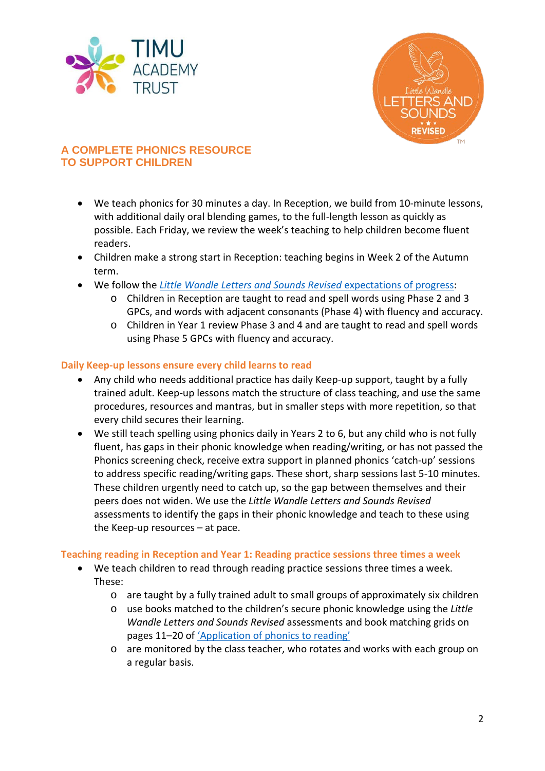



- We teach phonics for 30 minutes a day. In Reception, we build from 10-minute lessons, with additional daily oral blending games, to the full-length lesson as quickly as possible. Each Friday, we review the week's teaching to help children become fluent readers.
- Children make a strong start in Reception: teaching begins in Week 2 of the Autumn term.
- We follow the *[Little Wandle Letters and Sounds Revised](https://wandlelearningtrust.sharepoint.com/sites/WTSA2/Shared%20Documents/Forms/AllItems.aspx?csf=1&web=1&e=dA5Kg8&cid=c07c4b6e%2D7eff%2D4834%2Db0a2%2De34e77f1195a&FolderCTID=0x0120002B68E4606EDEEB42917E483D1520364F&id=%2Fsites%2FWTSA2%2FShared%20Documents%2FLetters%20and%20Sounds%2FLetters%20and%20Sounds%20Revised%2FSigned%20off%20files%2FProgramme%20Overview%5FReception%20and%20Year%201%2Epdf&parent=%2Fsites%2FWTSA2%2FShared%20Documents%2FLetters%20and%20Sounds%2FLetters%20and%20Sounds%20Revised%2FSigned%20off%20files)* expectations of progress:
	- o Children in Reception are taught to read and spell words using Phase 2 and 3 GPCs, and words with adjacent consonants (Phase 4) with fluency and accuracy.
	- o Children in Year 1 review Phase 3 and 4 and are taught to read and spell words using Phase 5 GPCs with fluency and accuracy.

## **Daily Keep-up lessons ensure every child learns to read**

- Any child who needs additional practice has daily Keep-up support, taught by a fully trained adult. Keep-up lessons match the structure of class teaching, and use the same procedures, resources and mantras, but in smaller steps with more repetition, so that every child secures their learning.
- We still teach spelling using phonics daily in Years 2 to 6, but any child who is not fully fluent, has gaps in their phonic knowledge when reading/writing, or has not passed the Phonics screening check, receive extra support in planned phonics 'catch-up' sessions to address specific reading/writing gaps. These short, sharp sessions last 5-10 minutes. These children urgently need to catch up, so the gap between themselves and their peers does not widen. We use the *Little Wandle Letters and Sounds Revised* assessments to identify the gaps in their phonic knowledge and teach to these using the Keep-up resources – at pace.

## **Teaching reading in Reception and Year 1: Reading practice sessions three times a week**

- We teach children to read through reading practice sessions three times a week. These:
	- o are taught by a fully trained adult to small groups of approximately six children
	- o use books matched to the children's secure phonic knowledge using the *Little Wandle Letters and Sounds Revised* assessments and book matching grids on pages 11–20 of ['Application of phonics to reading'](https://www.littlewandlelettersandsounds.org.uk/wp-content/uploads/2021/11/LS-KEY-GUIDANCE-APPLICATION-OF-PHONICS-NEW-PD03-1.pdf)
	- o are monitored by the class teacher, who rotates and works with each group on a regular basis.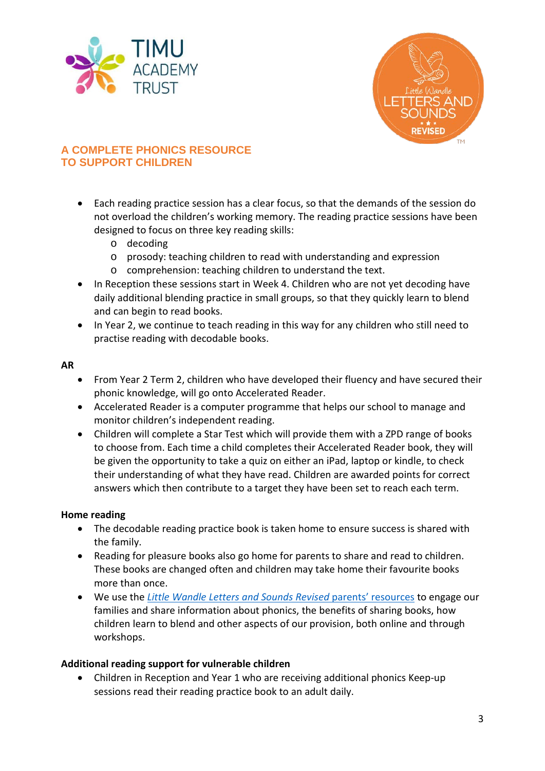



- Each reading practice session has a clear focus, so that the demands of the session do not overload the children's working memory. The reading practice sessions have been designed to focus on three key reading skills:
	- o decoding
	- o prosody: teaching children to read with understanding and expression
	- o comprehension: teaching children to understand the text.
- In Reception these sessions start in Week 4. Children who are not yet decoding have daily additional blending practice in small groups, so that they quickly learn to blend and can begin to read books.
- In Year 2, we continue to teach reading in this way for any children who still need to practise reading with decodable books.

#### **AR**

- From Year 2 Term 2, children who have developed their fluency and have secured their phonic knowledge, will go onto Accelerated Reader.
- Accelerated Reader is a computer programme that helps our school to manage and monitor children's independent reading.
- Children will complete a Star Test which will provide them with a ZPD range of books to choose from. Each time a child completes their Accelerated Reader book, they will be given the opportunity to take a quiz on either an iPad, laptop or kindle, to check their understanding of what they have read. Children are awarded points for correct answers which then contribute to a target they have been set to reach each term.

#### **Home reading**

- The decodable reading practice book is taken home to ensure success is shared with the family.
- Reading for pleasure books also go home for parents to share and read to children. These books are changed often and children may take home their favourite books more than once.
- We use the *[Little Wandle Letters and Sounds Revised](https://www.littlewandlelettersandsounds.org.uk/resources/for-parents/)* parents' resources to engage our families and share information about phonics, the benefits of sharing books, how children learn to blend and other aspects of our provision, both online and through workshops.

#### **Additional reading support for vulnerable children**

• Children in Reception and Year 1 who are receiving additional phonics Keep-up sessions read their reading practice book to an adult daily.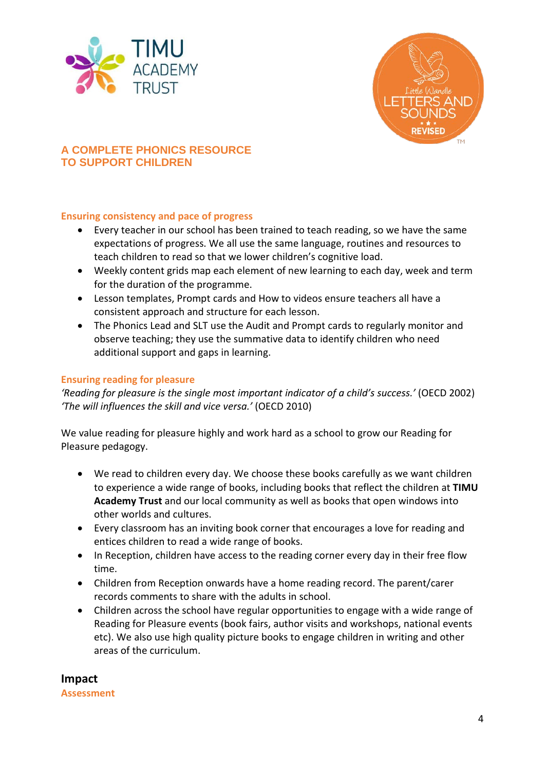



## **Ensuring consistency and pace of progress**

- Every teacher in our school has been trained to teach reading, so we have the same expectations of progress. We all use the same language, routines and resources to teach children to read so that we lower children's cognitive load.
- Weekly content grids map each element of new learning to each day, week and term for the duration of the programme.
- Lesson templates, Prompt cards and How to videos ensure teachers all have a consistent approach and structure for each lesson.
- The Phonics Lead and SLT use the Audit and Prompt cards to regularly monitor and observe teaching; they use the summative data to identify children who need additional support and gaps in learning.

## **Ensuring reading for pleasure**

*'Reading for pleasure is the single most important indicator of a child's success.'* (OECD 2002) *'The will influences the skill and vice versa.'* (OECD 2010)

We value reading for pleasure highly and work hard as a school to grow our Reading for Pleasure pedagogy.

- We read to children every day. We choose these books carefully as we want children to experience a wide range of books, including books that reflect the children at **TIMU Academy Trust** and our local community as well as books that open windows into other worlds and cultures.
- Every classroom has an inviting book corner that encourages a love for reading and entices children to read a wide range of books.
- In Reception, children have access to the reading corner every day in their free flow time.
- Children from Reception onwards have a home reading record. The parent/carer records comments to share with the adults in school.
- Children across the school have regular opportunities to engage with a wide range of Reading for Pleasure events (book fairs, author visits and workshops, national events etc). We also use high quality picture books to engage children in writing and other areas of the curriculum.

**Impact Assessment**